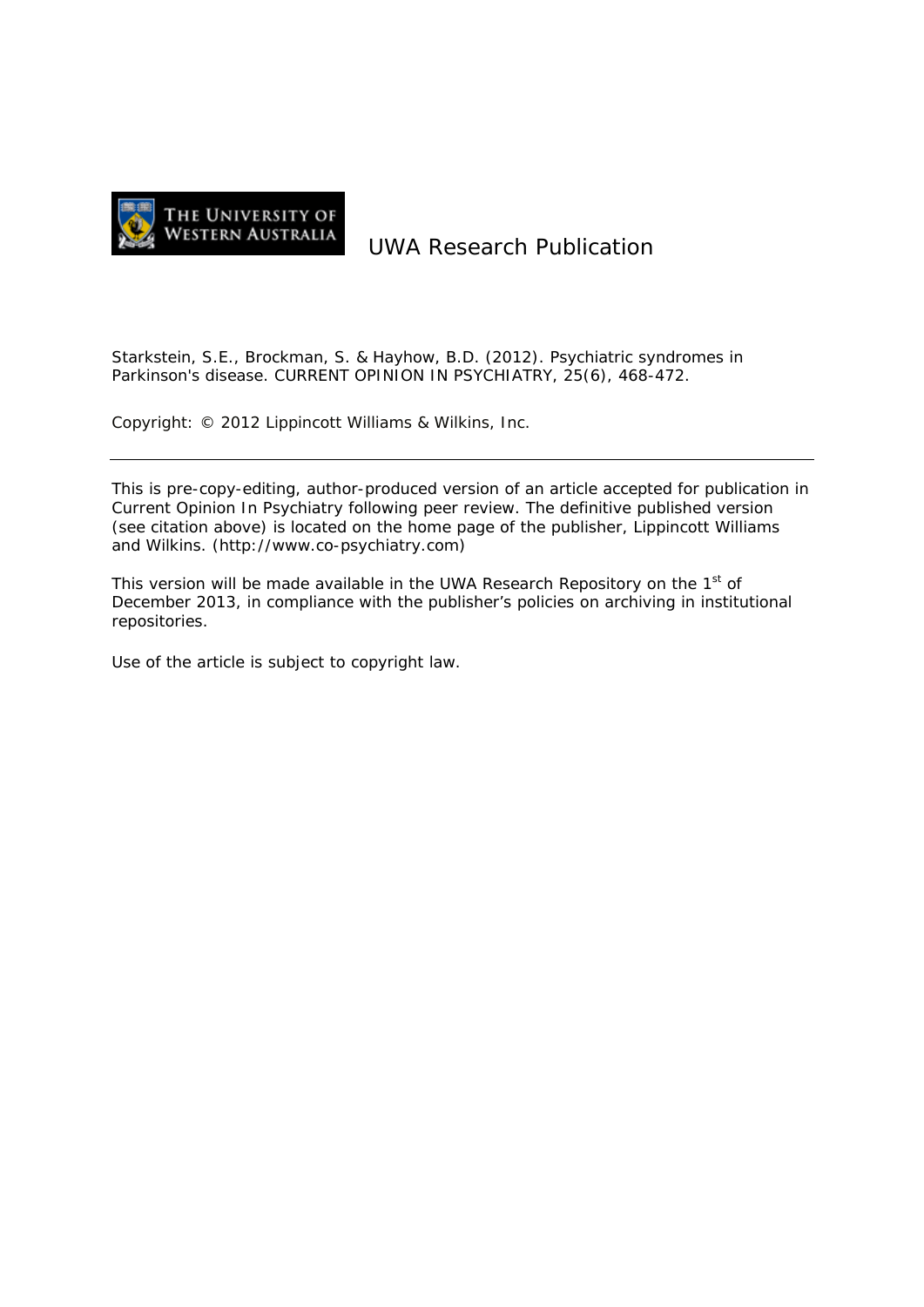

# UWA Research Publication

Starkstein, S.E., Brockman, S. & Hayhow, B.D. (2012). Psychiatric syndromes in Parkinson's disease. CURRENT OPINION IN PSYCHIATRY, 25(6), 468-472.

Copyright: © 2012 Lippincott Williams & Wilkins, Inc.

This is pre-copy-editing, author-produced version of an article accepted for publication in Current Opinion In Psychiatry following peer review. The definitive published version (see citation above) is located on the home page of the publisher, Lippincott Williams and Wilkins. (http://www.co-psychiatry.com)

This version will be made available in the UWA Research Repository on the  $1<sup>st</sup>$  of December 2013, in compliance with the publisher's policies on archiving in institutional repositories.

Use of the article is subject to copyright law.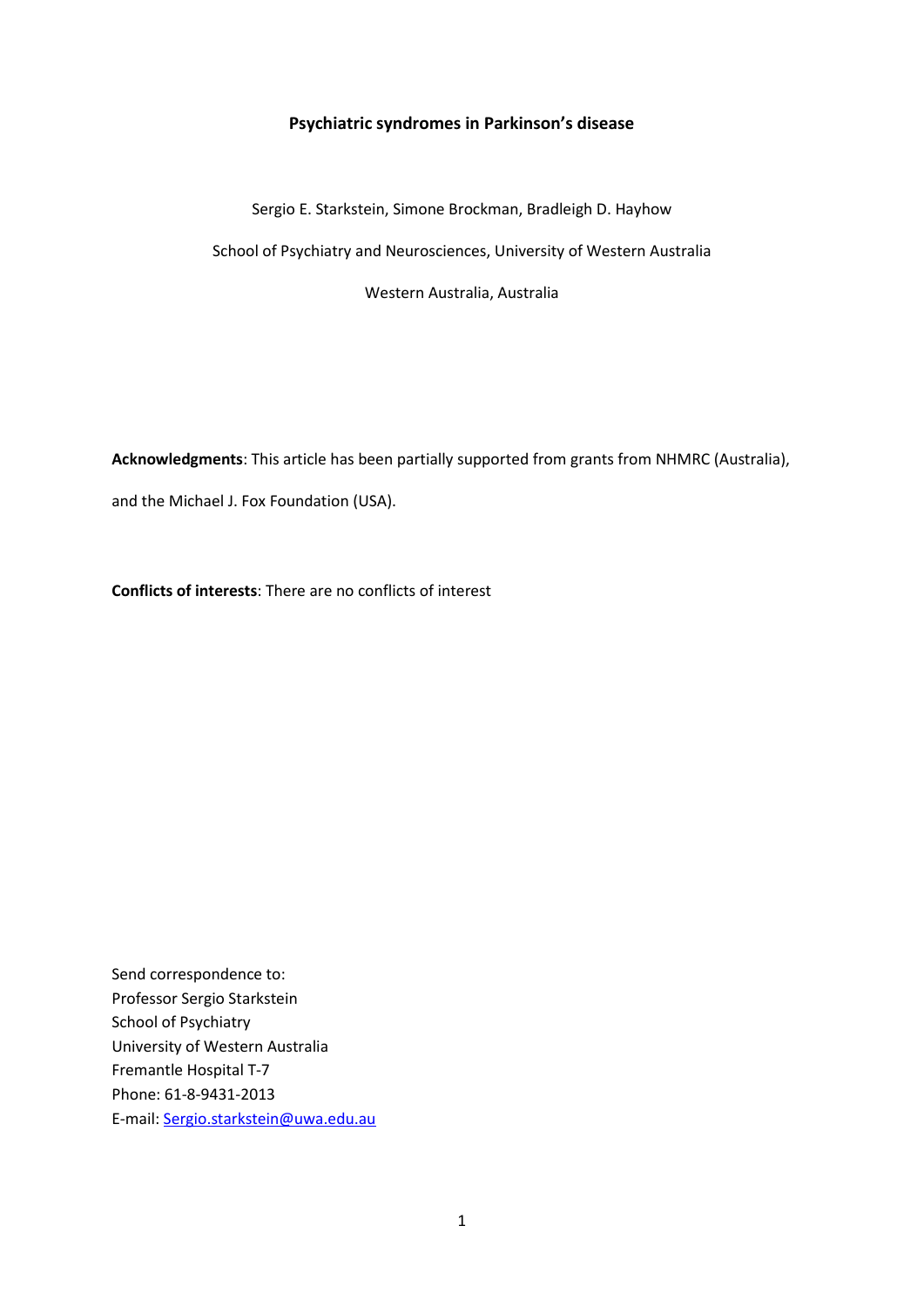# **Psychiatric syndromes in Parkinson's disease**

Sergio E. Starkstein, Simone Brockman, Bradleigh D. Hayhow School of Psychiatry and Neurosciences, University of Western Australia Western Australia, Australia

**Acknowledgments**: This article has been partially supported from grants from NHMRC (Australia),

and the Michael J. Fox Foundation (USA).

**Conflicts of interests**: There are no conflicts of interest

Send correspondence to: Professor Sergio Starkstein School of Psychiatry University of Western Australia Fremantle Hospital T-7 Phone: 61-8-9431-2013 E-mail: [Sergio.starkstein@uwa.edu.au](mailto:Sergio.starkstein@uwa.edu.au)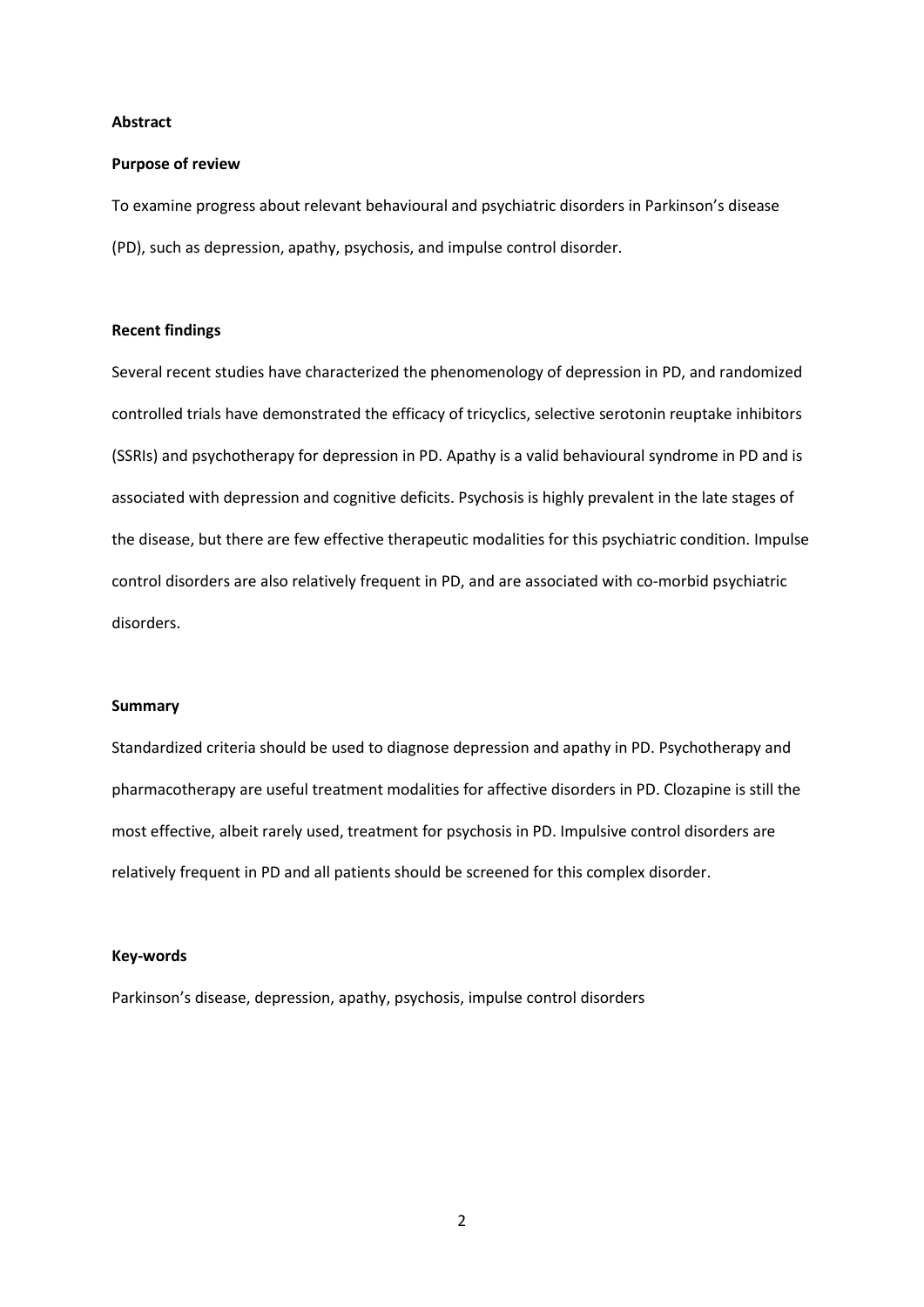#### **Abstract**

#### **Purpose of review**

To examine progress about relevant behavioural and psychiatric disorders in Parkinson's disease (PD), such as depression, apathy, psychosis, and impulse control disorder.

## **Recent findings**

Several recent studies have characterized the phenomenology of depression in PD, and randomized controlled trials have demonstrated the efficacy of tricyclics, selective serotonin reuptake inhibitors (SSRIs) and psychotherapy for depression in PD. Apathy is a valid behavioural syndrome in PD and is associated with depression and cognitive deficits. Psychosis is highly prevalent in the late stages of the disease, but there are few effective therapeutic modalities for this psychiatric condition. Impulse control disorders are also relatively frequent in PD, and are associated with co-morbid psychiatric disorders.

## **Summary**

Standardized criteria should be used to diagnose depression and apathy in PD. Psychotherapy and pharmacotherapy are useful treatment modalities for affective disorders in PD. Clozapine is still the most effective, albeit rarely used, treatment for psychosis in PD. Impulsive control disorders are relatively frequent in PD and all patients should be screened for this complex disorder.

## **Key-words**

Parkinson's disease, depression, apathy, psychosis, impulse control disorders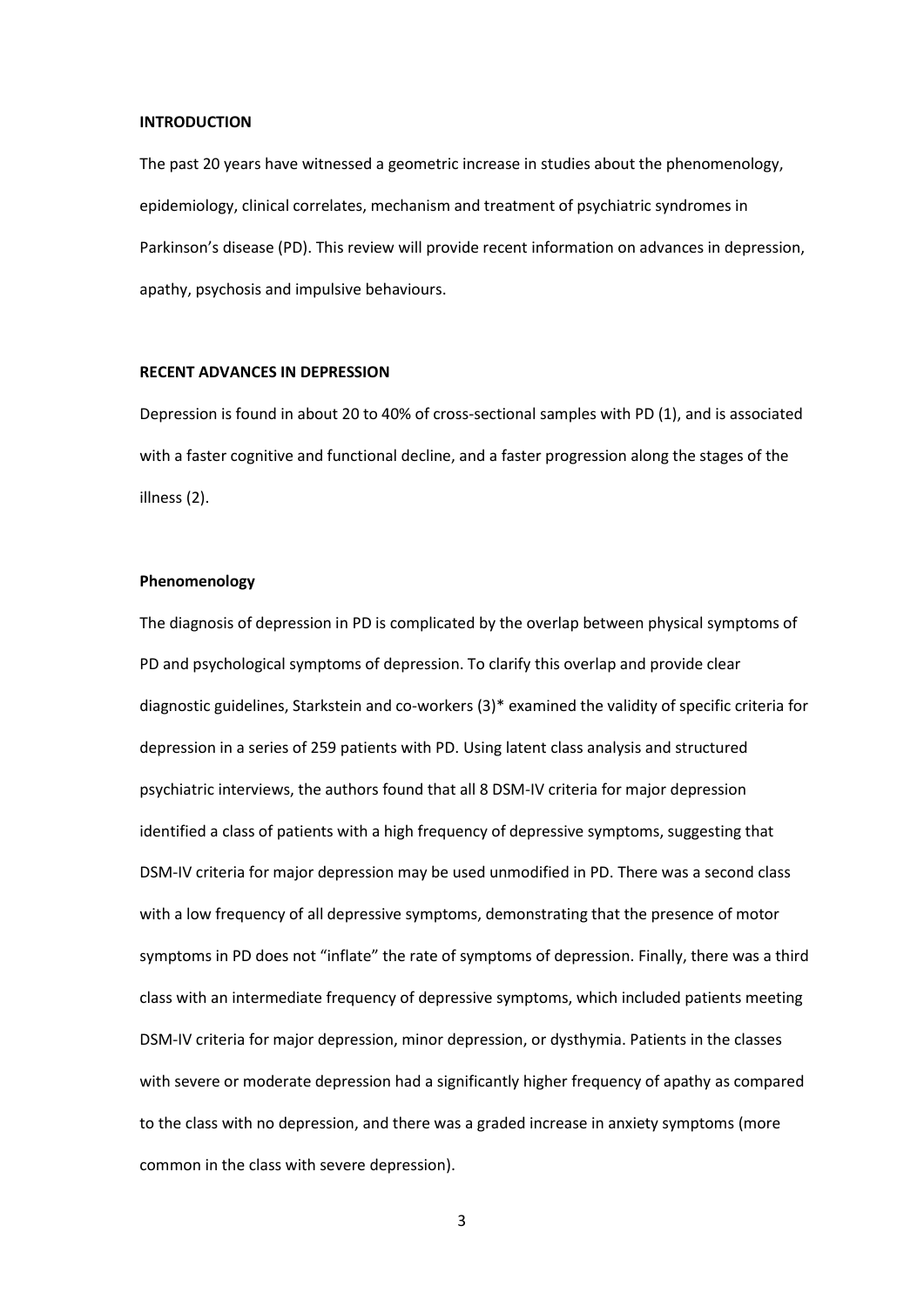#### **INTRODUCTION**

The past 20 years have witnessed a geometric increase in studies about the phenomenology, epidemiology, clinical correlates, mechanism and treatment of psychiatric syndromes in Parkinson's disease (PD). This review will provide recent information on advances in depression, apathy, psychosis and impulsive behaviours.

# **RECENT ADVANCES IN DEPRESSION**

Depression is found in about 20 to 40% of cross-sectional samples with PD [\(1\)](#page-12-0), and is associated with a faster cognitive and functional decline, and a faster progression along the stages of the illness [\(2\)](#page-12-1).

# **Phenomenology**

The diagnosis of depression in PD is complicated by the overlap between physical symptoms of PD and psychological symptoms of depression. To clarify this overlap and provide clear diagnostic guidelines, Starkstein and co-workers [\(3\)](#page-12-2)\* examined the validity of specific criteria for depression in a series of 259 patients with PD. Using latent class analysis and structured psychiatric interviews, the authors found that all 8 DSM-IV criteria for major depression identified a class of patients with a high frequency of depressive symptoms, suggesting that DSM-IV criteria for major depression may be used unmodified in PD. There was a second class with a low frequency of all depressive symptoms, demonstrating that the presence of motor symptoms in PD does not "inflate" the rate of symptoms of depression. Finally, there was a third class with an intermediate frequency of depressive symptoms, which included patients meeting DSM-IV criteria for major depression, minor depression, or dysthymia. Patients in the classes with severe or moderate depression had a significantly higher frequency of apathy as compared to the class with no depression, and there was a graded increase in anxiety symptoms (more common in the class with severe depression).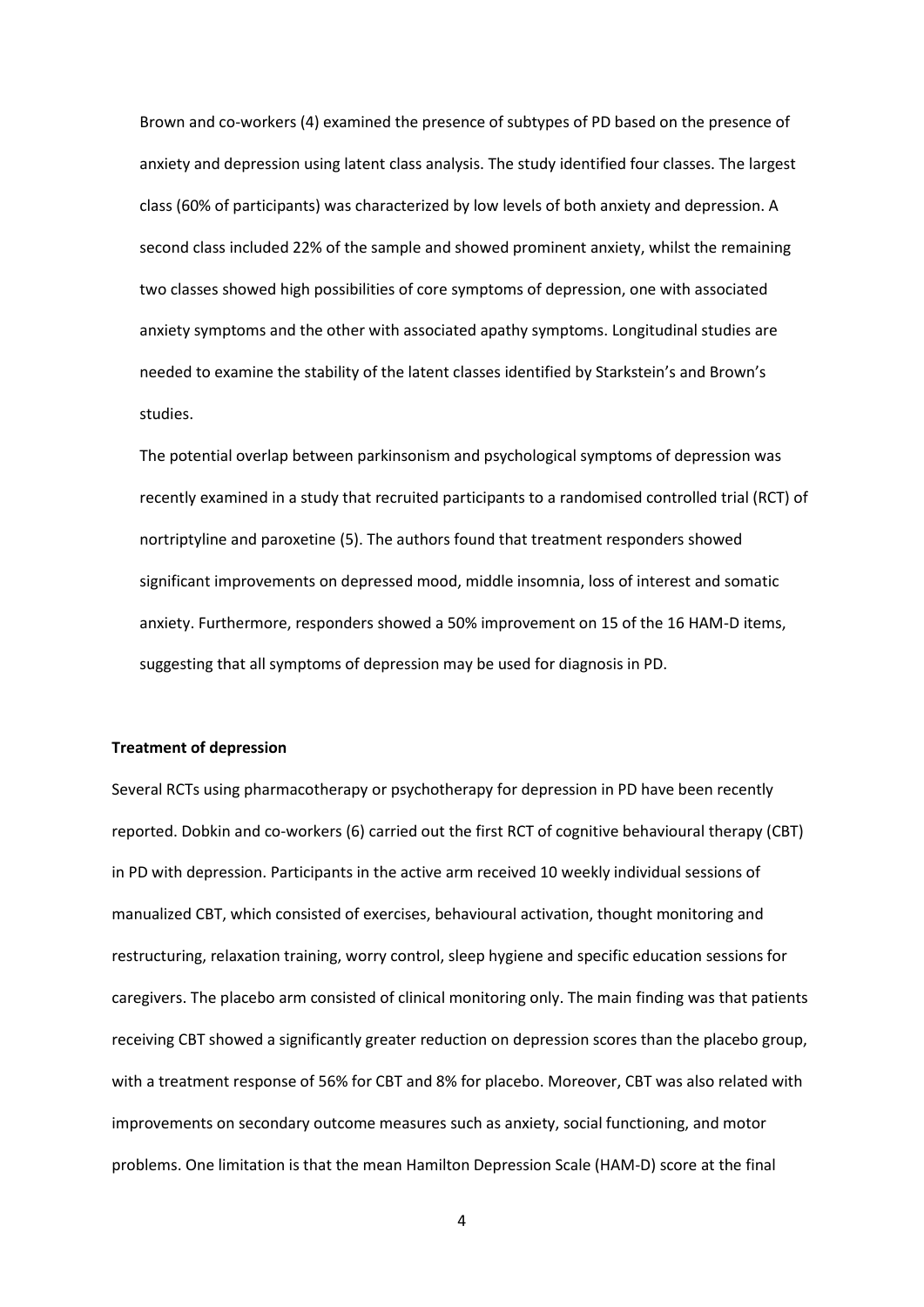Brown and co-workers [\(4\)](#page-12-3) examined the presence of subtypes of PD based on the presence of anxiety and depression using latent class analysis. The study identified four classes. The largest class (60% of participants) was characterized by low levels of both anxiety and depression. A second class included 22% of the sample and showed prominent anxiety, whilst the remaining two classes showed high possibilities of core symptoms of depression, one with associated anxiety symptoms and the other with associated apathy symptoms. Longitudinal studies are needed to examine the stability of the latent classes identified by Starkstein's and Brown's studies.

The potential overlap between parkinsonism and psychological symptoms of depression was recently examined in a study that recruited participants to a randomised controlled trial (RCT) of nortriptyline and paroxetine [\(5\)](#page-12-4). The authors found that treatment responders showed significant improvements on depressed mood, middle insomnia, loss of interest and somatic anxiety. Furthermore, responders showed a 50% improvement on 15 of the 16 HAM-D items, suggesting that all symptoms of depression may be used for diagnosis in PD.

#### **Treatment of depression**

Several RCTs using pharmacotherapy or psychotherapy for depression in PD have been recently reported. Dobkin and co-workers [\(6\)](#page-12-5) carried out the first RCT of cognitive behavioural therapy (CBT) in PD with depression. Participants in the active arm received 10 weekly individual sessions of manualized CBT, which consisted of exercises, behavioural activation, thought monitoring and restructuring, relaxation training, worry control, sleep hygiene and specific education sessions for caregivers. The placebo arm consisted of clinical monitoring only. The main finding was that patients receiving CBT showed a significantly greater reduction on depression scores than the placebo group, with a treatment response of 56% for CBT and 8% for placebo. Moreover, CBT was also related with improvements on secondary outcome measures such as anxiety, social functioning, and motor problems. One limitation is that the mean Hamilton Depression Scale (HAM-D) score at the final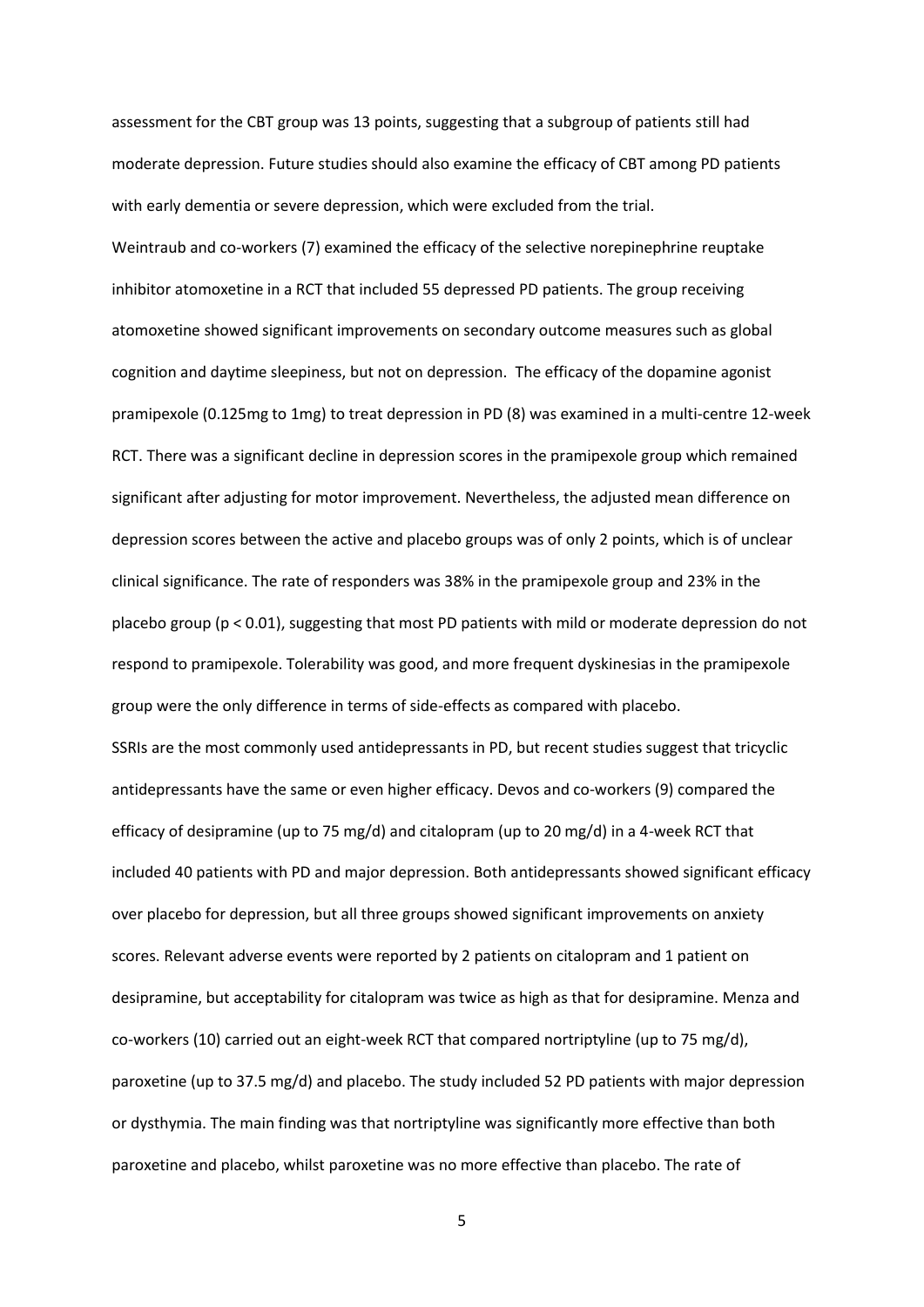assessment for the CBT group was 13 points, suggesting that a subgroup of patients still had moderate depression. Future studies should also examine the efficacy of CBT among PD patients with early dementia or severe depression, which were excluded from the trial. Weintraub and co-workers [\(7\)](#page-12-6) examined the efficacy of the selective norepinephrine reuptake inhibitor atomoxetine in a RCT that included 55 depressed PD patients. The group receiving atomoxetine showed significant improvements on secondary outcome measures such as global cognition and daytime sleepiness, but not on depression. The efficacy of the dopamine agonist pramipexole (0.125mg to 1mg) to treat depression in PD [\(8\)](#page-13-0) was examined in a multi-centre 12-week RCT. There was a significant decline in depression scores in the pramipexole group which remained significant after adjusting for motor improvement. Nevertheless, the adjusted mean difference on depression scores between the active and placebo groups was of only 2 points, which is of unclear clinical significance. The rate of responders was 38% in the pramipexole group and 23% in the placebo group (p < 0.01), suggesting that most PD patients with mild or moderate depression do not respond to pramipexole. Tolerability was good, and more frequent dyskinesias in the pramipexole group were the only difference in terms of side-effects as compared with placebo. SSRIs are the most commonly used antidepressants in PD, but recent studies suggest that tricyclic antidepressants have the same or even higher efficacy. Devos and co-workers [\(9\)](#page-13-1) compared the efficacy of desipramine (up to 75 mg/d) and citalopram (up to 20 mg/d) in a 4-week RCT that included 40 patients with PD and major depression. Both antidepressants showed significant efficacy over placebo for depression, but all three groups showed significant improvements on anxiety scores. Relevant adverse events were reported by 2 patients on citalopram and 1 patient on desipramine, but acceptability for citalopram was twice as high as that for desipramine. Menza and co-workers [\(10\)](#page-13-2) carried out an eight-week RCT that compared nortriptyline (up to 75 mg/d), paroxetine (up to 37.5 mg/d) and placebo. The study included 52 PD patients with major depression or dysthymia. The main finding was that nortriptyline was significantly more effective than both paroxetine and placebo, whilst paroxetine was no more effective than placebo. The rate of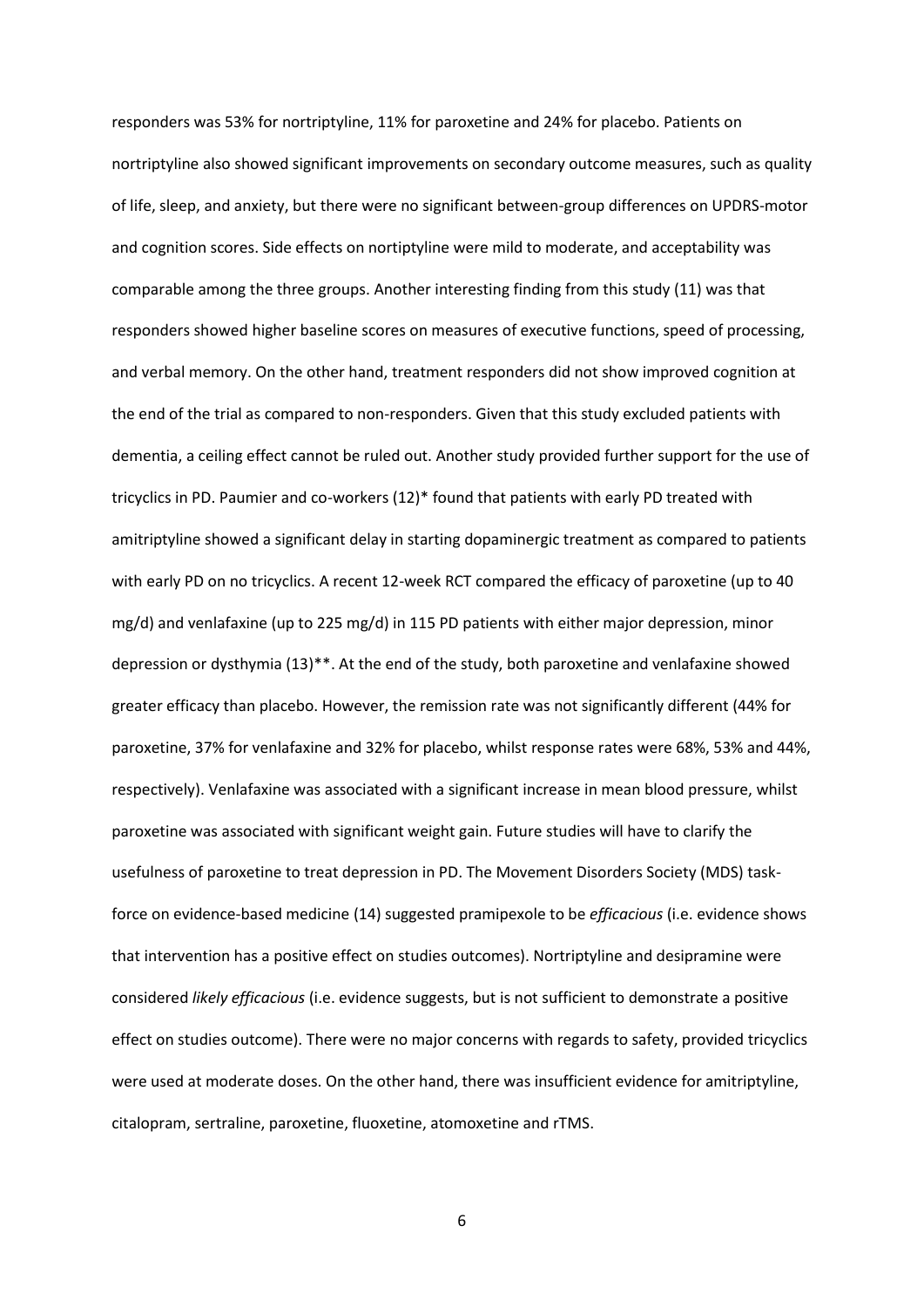responders was 53% for nortriptyline, 11% for paroxetine and 24% for placebo. Patients on nortriptyline also showed significant improvements on secondary outcome measures, such as quality of life, sleep, and anxiety, but there were no significant between-group differences on UPDRS-motor and cognition scores. Side effects on nortiptyline were mild to moderate, and acceptability was comparable among the three groups. Another interesting finding from this study [\(11\)](#page-13-3) was that responders showed higher baseline scores on measures of executive functions, speed of processing, and verbal memory. On the other hand, treatment responders did not show improved cognition at the end of the trial as compared to non-responders. Given that this study excluded patients with dementia, a ceiling effect cannot be ruled out. Another study provided further support for the use of tricyclics in PD. Paumier and co-workers [\(12\)](#page-13-4)\* found that patients with early PD treated with amitriptyline showed a significant delay in starting dopaminergic treatment as compared to patients with early PD on no tricyclics. A recent 12-week RCT compared the efficacy of paroxetine (up to 40 mg/d) and venlafaxine (up to 225 mg/d) in 115 PD patients with either major depression, minor depression or dysthymia [\(13\)](#page-13-5)\*\*. At the end of the study, both paroxetine and venlafaxine showed greater efficacy than placebo. However, the remission rate was not significantly different (44% for paroxetine, 37% for venlafaxine and 32% for placebo, whilst response rates were 68%, 53% and 44%, respectively). Venlafaxine was associated with a significant increase in mean blood pressure, whilst paroxetine was associated with significant weight gain. Future studies will have to clarify the usefulness of paroxetine to treat depression in PD. The Movement Disorders Society (MDS) taskforce on evidence-based medicine [\(14\)](#page-13-6) suggested pramipexole to be *efficacious* (i.e. evidence shows that intervention has a positive effect on studies outcomes). Nortriptyline and desipramine were considered *likely efficacious* (i.e. evidence suggests, but is not sufficient to demonstrate a positive effect on studies outcome). There were no major concerns with regards to safety, provided tricyclics were used at moderate doses. On the other hand, there was insufficient evidence for amitriptyline, citalopram, sertraline, paroxetine, fluoxetine, atomoxetine and rTMS.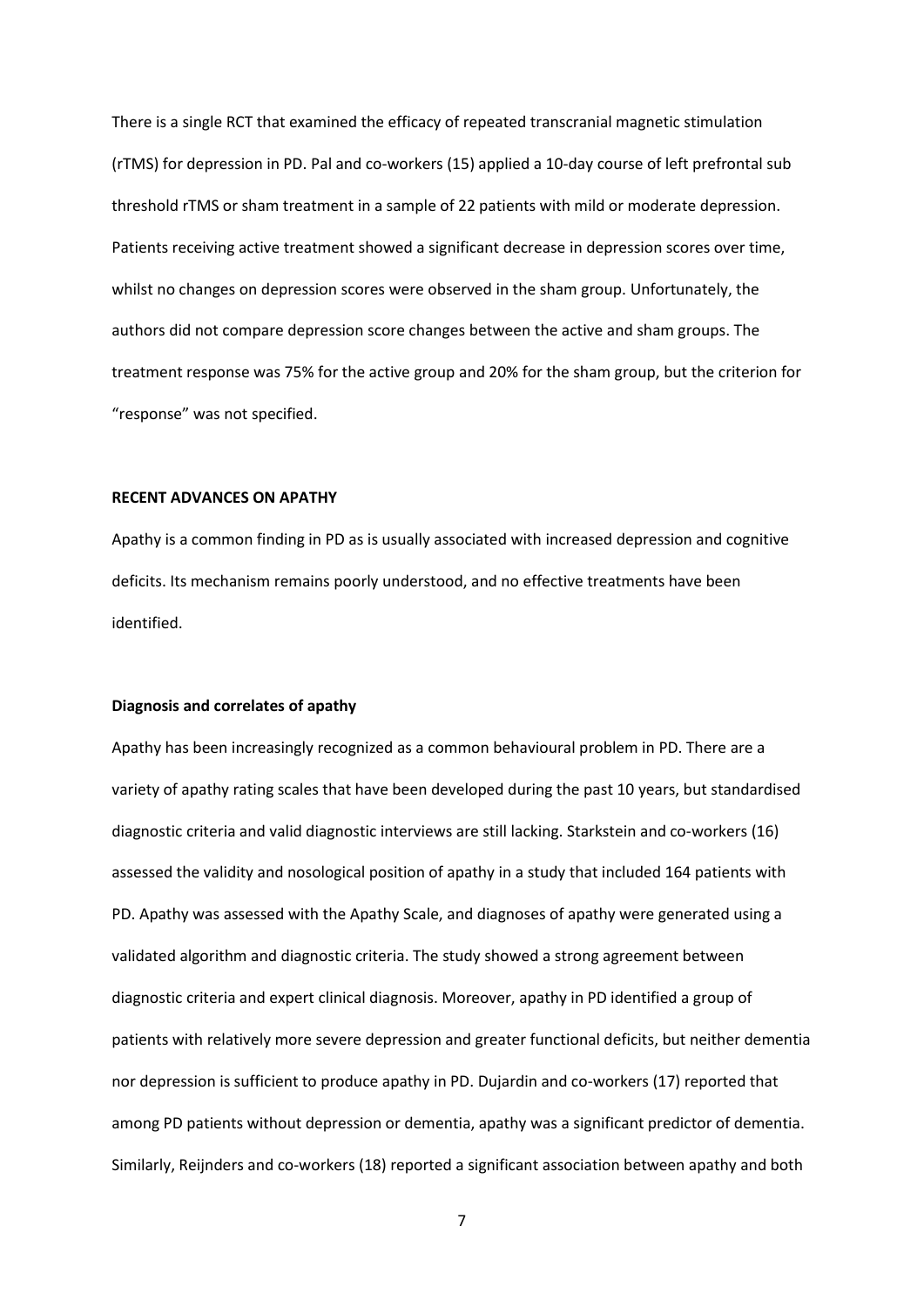There is a single RCT that examined the efficacy of repeated transcranial magnetic stimulation (rTMS) for depression in PD. Pal and co-workers [\(15\)](#page-14-0) applied a 10-day course of left prefrontal sub threshold rTMS or sham treatment in a sample of 22 patients with mild or moderate depression. Patients receiving active treatment showed a significant decrease in depression scores over time, whilst no changes on depression scores were observed in the sham group. Unfortunately, the authors did not compare depression score changes between the active and sham groups. The treatment response was 75% for the active group and 20% for the sham group, but the criterion for "response" was not specified.

# **RECENT ADVANCES ON APATHY**

Apathy is a common finding in PD as is usually associated with increased depression and cognitive deficits. Its mechanism remains poorly understood, and no effective treatments have been identified.

#### **Diagnosis and correlates of apathy**

Apathy has been increasingly recognized as a common behavioural problem in PD. There are a variety of apathy rating scales that have been developed during the past 10 years, but standardised diagnostic criteria and valid diagnostic interviews are still lacking. Starkstein and co-workers [\(16\)](#page-14-1) assessed the validity and nosological position of apathy in a study that included 164 patients with PD. Apathy was assessed with the Apathy Scale, and diagnoses of apathy were generated using a validated algorithm and diagnostic criteria. The study showed a strong agreement between diagnostic criteria and expert clinical diagnosis. Moreover, apathy in PD identified a group of patients with relatively more severe depression and greater functional deficits, but neither dementia nor depression is sufficient to produce apathy in PD. Dujardin and co-workers [\(17\)](#page-14-2) reported that among PD patients without depression or dementia, apathy was a significant predictor of dementia. Similarly, Reijnders and co-workers [\(18\)](#page-14-3) reported a significant association between apathy and both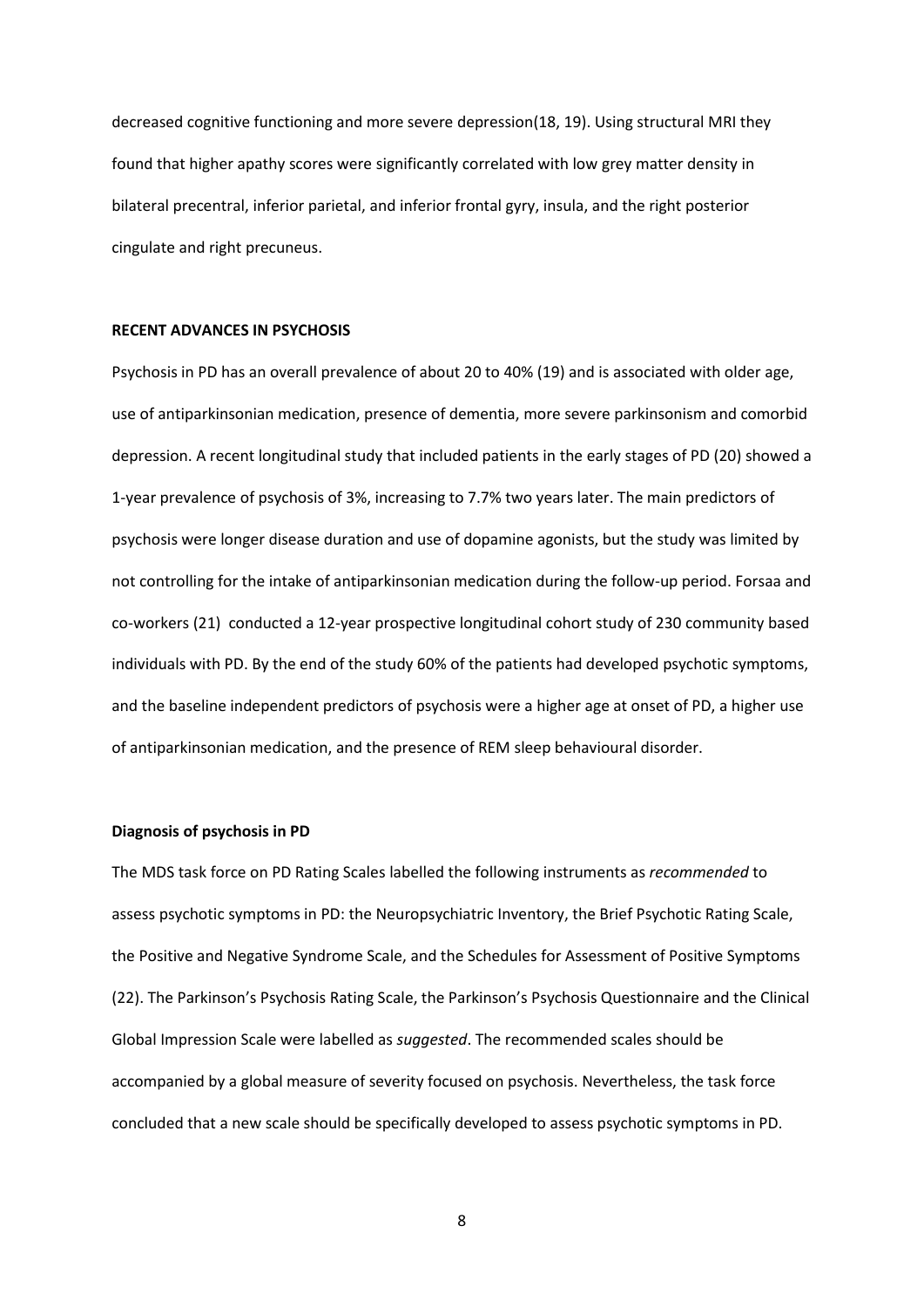decreased cognitive functioning and more severe depression[\(18,](#page-14-3) [19\)](#page-14-4). Using structural MRI they found that higher apathy scores were significantly correlated with low grey matter density in bilateral precentral, inferior parietal, and inferior frontal gyry, insula, and the right posterior cingulate and right precuneus.

## **RECENT ADVANCES IN PSYCHOSIS**

Psychosis in PD has an overall prevalence of about 20 to 40% [\(19\)](#page-14-4) and is associated with older age, use of antiparkinsonian medication, presence of dementia, more severe parkinsonism and comorbid depression. A recent longitudinal study that included patients in the early stages of PD [\(20\)](#page-14-5) showed a 1-year prevalence of psychosis of 3%, increasing to 7.7% two years later. The main predictors of psychosis were longer disease duration and use of dopamine agonists, but the study was limited by not controlling for the intake of antiparkinsonian medication during the follow-up period. Forsaa and co-workers [\(21\)](#page-14-6) conducted a 12-year prospective longitudinal cohort study of 230 community based individuals with PD. By the end of the study 60% of the patients had developed psychotic symptoms, and the baseline independent predictors of psychosis were a higher age at onset of PD, a higher use of antiparkinsonian medication, and the presence of REM sleep behavioural disorder.

#### **Diagnosis of psychosis in PD**

The MDS task force on PD Rating Scales labelled the following instruments as *recommended* to assess psychotic symptoms in PD: the Neuropsychiatric Inventory, the Brief Psychotic Rating Scale, the Positive and Negative Syndrome Scale, and the Schedules for Assessment of Positive Symptoms [\(22\)](#page-14-7). The Parkinson's Psychosis Rating Scale, the Parkinson's Psychosis Questionnaire and the Clinical Global Impression Scale were labelled as *suggested*. The recommended scales should be accompanied by a global measure of severity focused on psychosis. Nevertheless, the task force concluded that a new scale should be specifically developed to assess psychotic symptoms in PD.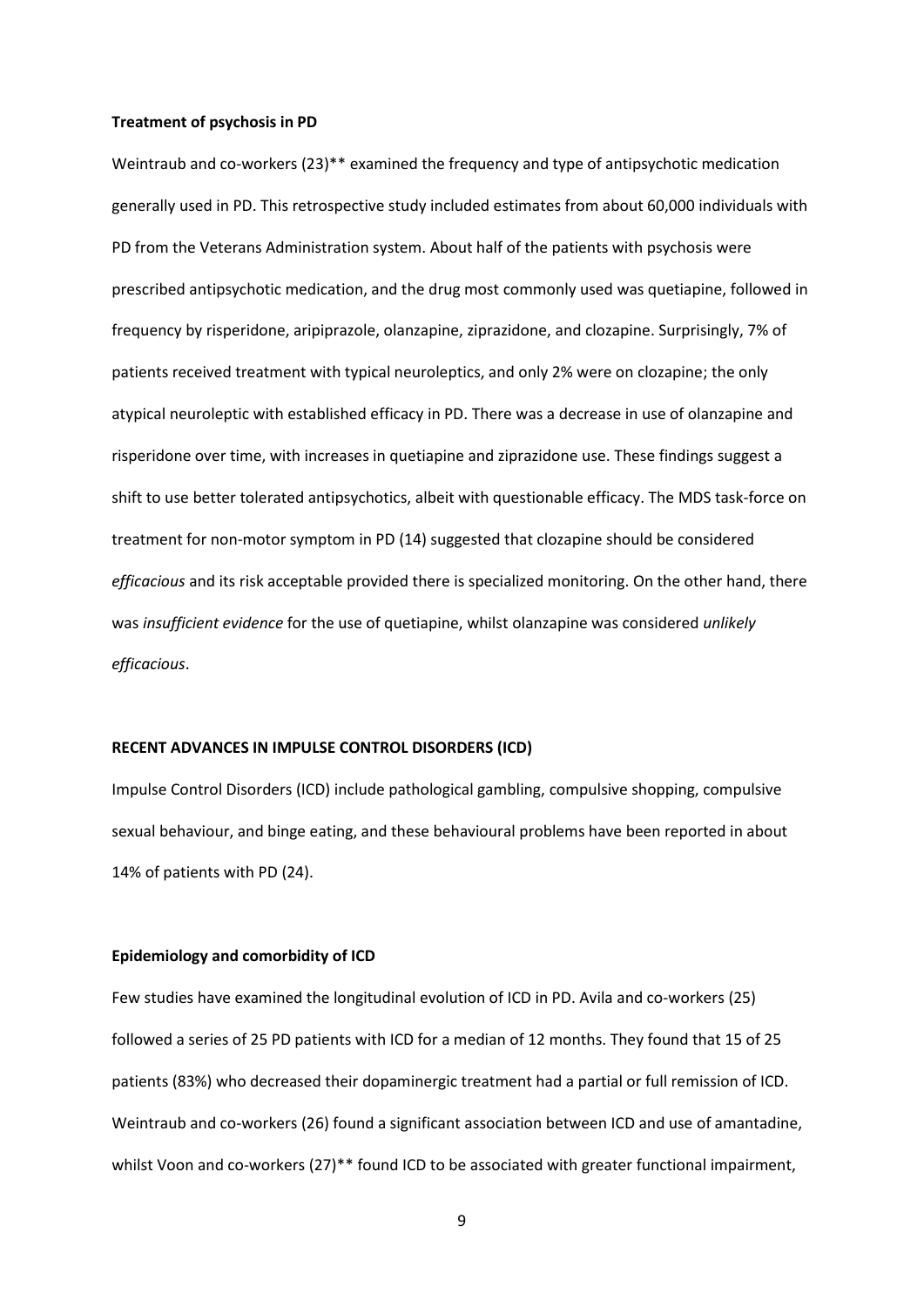#### **Treatment of psychosis in PD**

Weintraub and co-workers [\(23\)](#page-14-8)\*\* examined the frequency and type of antipsychotic medication generally used in PD. This retrospective study included estimates from about 60,000 individuals with PD from the Veterans Administration system. About half of the patients with psychosis were prescribed antipsychotic medication, and the drug most commonly used was quetiapine, followed in frequency by risperidone, aripiprazole, olanzapine, ziprazidone, and clozapine. Surprisingly, 7% of patients received treatment with typical neuroleptics, and only 2% were on clozapine; the only atypical neuroleptic with established efficacy in PD. There was a decrease in use of olanzapine and risperidone over time, with increases in quetiapine and ziprazidone use. These findings suggest a shift to use better tolerated antipsychotics, albeit with questionable efficacy. The MDS task-force on treatment for non-motor symptom in PD [\(14\)](#page-13-6) suggested that clozapine should be considered *efficacious* and its risk acceptable provided there is specialized monitoring. On the other hand, there was *insufficient evidence* for the use of quetiapine, whilst olanzapine was considered *unlikely efficacious*.

#### **RECENT ADVANCES IN IMPULSE CONTROL DISORDERS (ICD)**

Impulse Control Disorders (ICD) include pathological gambling, compulsive shopping, compulsive sexual behaviour, and binge eating, and these behavioural problems have been reported in about 14% of patients with PD [\(24\)](#page-15-0).

#### **Epidemiology and comorbidity of ICD**

Few studies have examined the longitudinal evolution of ICD in PD. Avila and co-workers [\(25\)](#page-15-1) followed a series of 25 PD patients with ICD for a median of 12 months. They found that 15 of 25 patients (83%) who decreased their dopaminergic treatment had a partial or full remission of ICD. Weintraub and co-workers [\(26\)](#page-15-2) found a significant association between ICD and use of amantadine, whilst Voon and co-workers [\(27\)](#page-15-3)<sup>\*\*</sup> found ICD to be associated with greater functional impairment,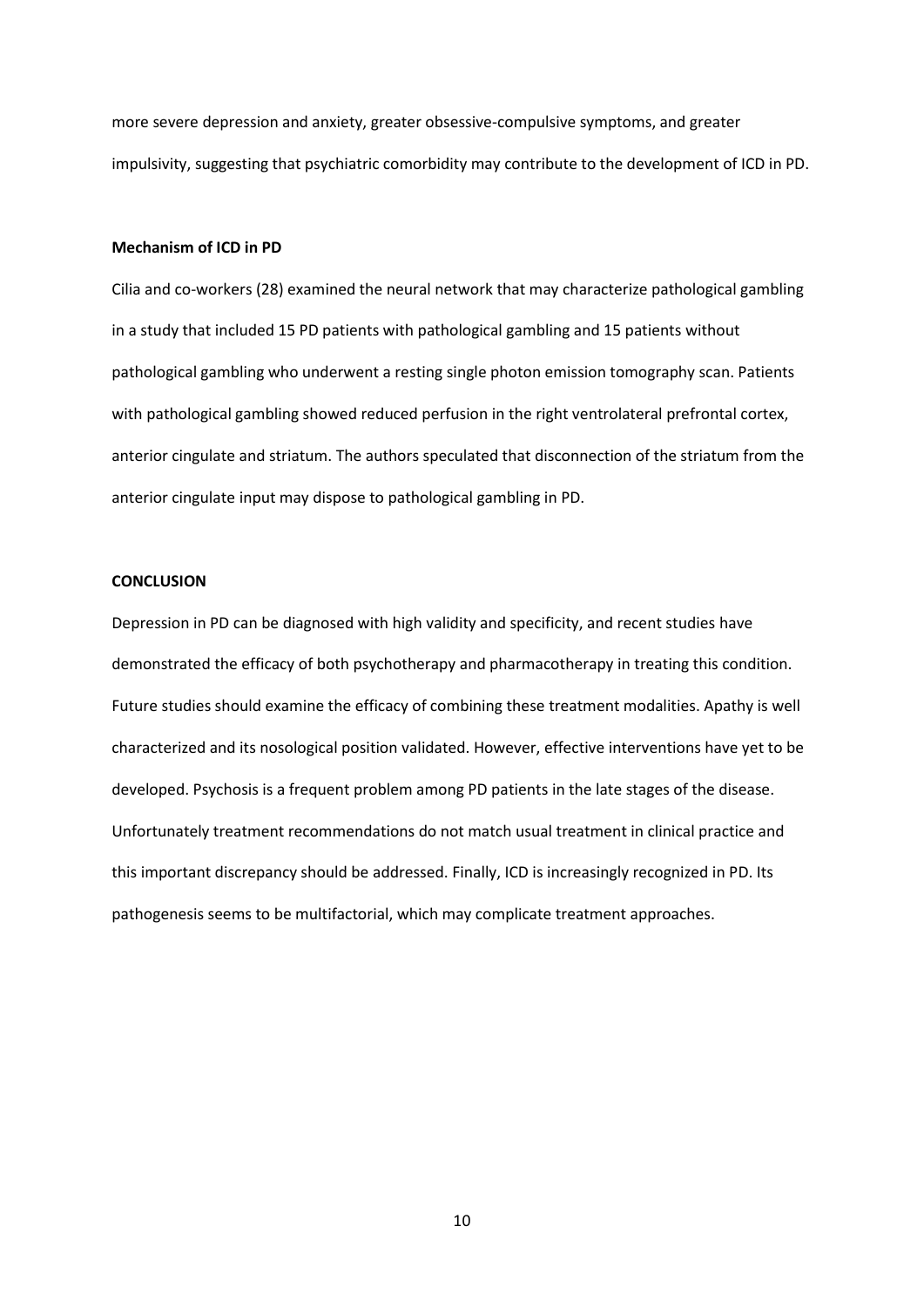more severe depression and anxiety, greater obsessive-compulsive symptoms, and greater impulsivity, suggesting that psychiatric comorbidity may contribute to the development of ICD in PD.

# **Mechanism of ICD in PD**

Cilia and co-workers [\(28\)](#page-15-4) examined the neural network that may characterize pathological gambling in a study that included 15 PD patients with pathological gambling and 15 patients without pathological gambling who underwent a resting single photon emission tomography scan. Patients with pathological gambling showed reduced perfusion in the right ventrolateral prefrontal cortex, anterior cingulate and striatum. The authors speculated that disconnection of the striatum from the anterior cingulate input may dispose to pathological gambling in PD.

# **CONCLUSION**

Depression in PD can be diagnosed with high validity and specificity, and recent studies have demonstrated the efficacy of both psychotherapy and pharmacotherapy in treating this condition. Future studies should examine the efficacy of combining these treatment modalities. Apathy is well characterized and its nosological position validated. However, effective interventions have yet to be developed. Psychosis is a frequent problem among PD patients in the late stages of the disease. Unfortunately treatment recommendations do not match usual treatment in clinical practice and this important discrepancy should be addressed. Finally, ICD is increasingly recognized in PD. Its pathogenesis seems to be multifactorial, which may complicate treatment approaches.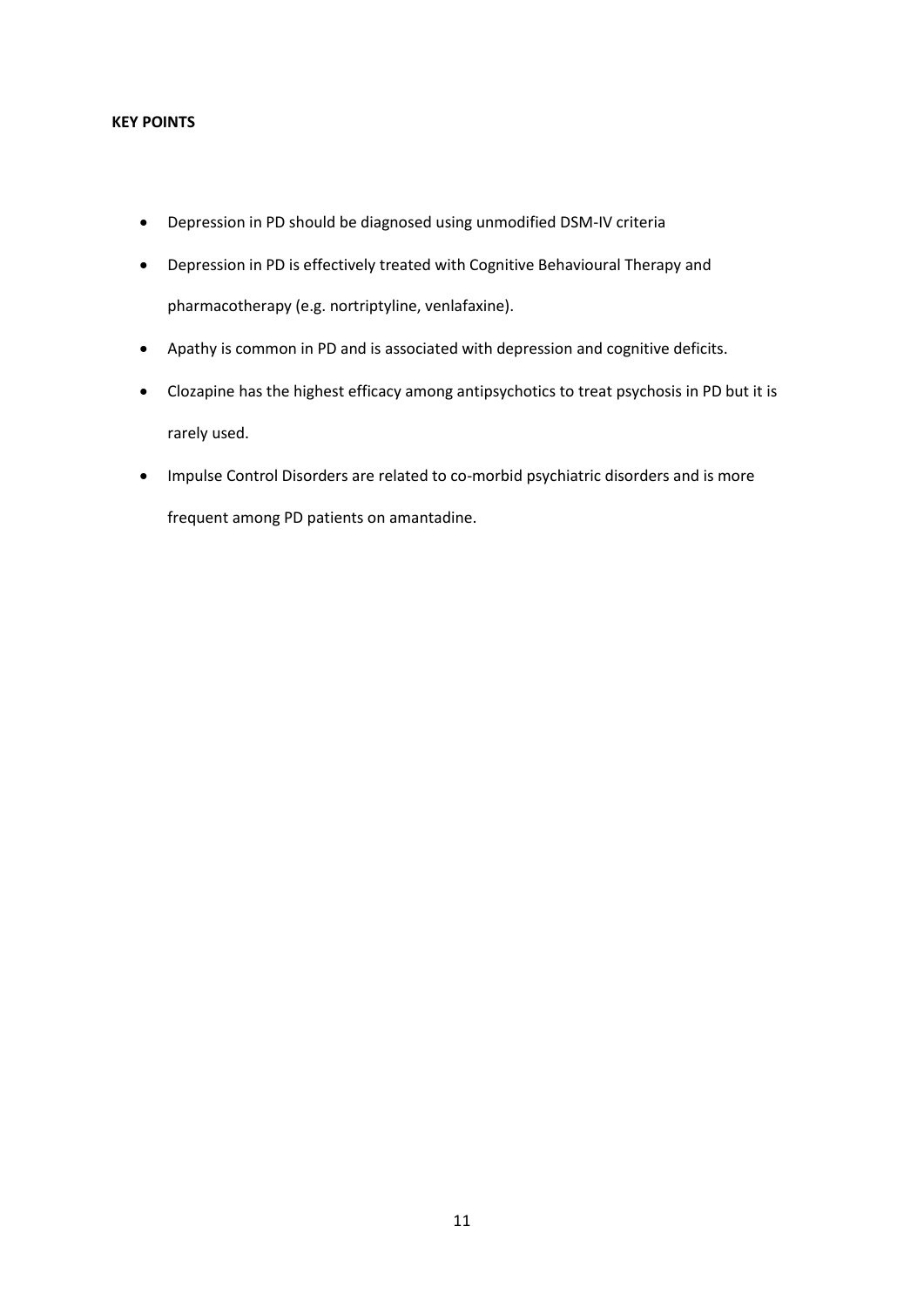# **KEY POINTS**

- Depression in PD should be diagnosed using unmodified DSM-IV criteria
- Depression in PD is effectively treated with Cognitive Behavioural Therapy and pharmacotherapy (e.g. nortriptyline, venlafaxine).
- Apathy is common in PD and is associated with depression and cognitive deficits.
- Clozapine has the highest efficacy among antipsychotics to treat psychosis in PD but it is rarely used.
- Impulse Control Disorders are related to co-morbid psychiatric disorders and is more frequent among PD patients on amantadine.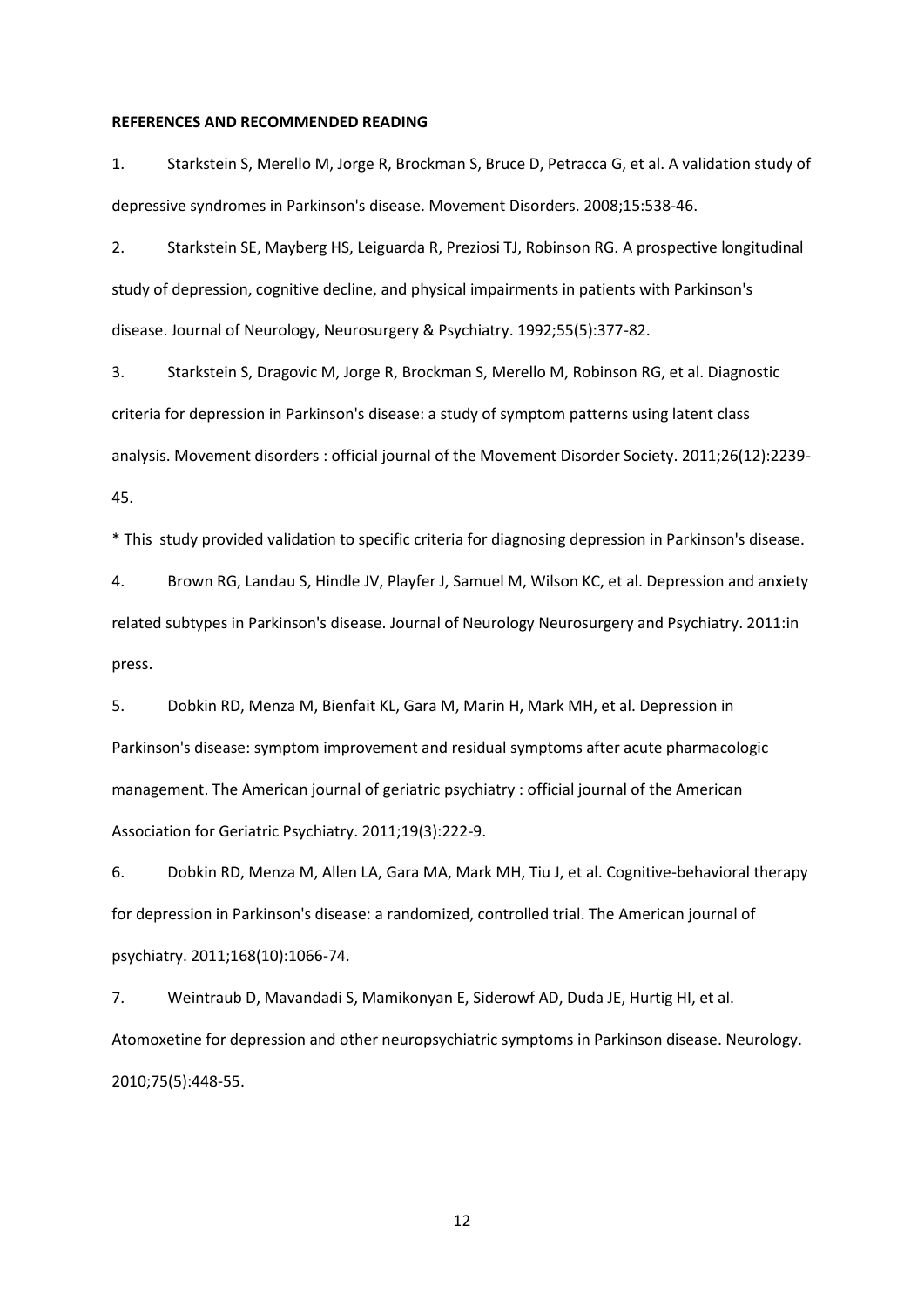#### **REFERENCES AND RECOMMENDED READING**

<span id="page-12-0"></span>1. Starkstein S, Merello M, Jorge R, Brockman S, Bruce D, Petracca G, et al. A validation study of depressive syndromes in Parkinson's disease. Movement Disorders. 2008;15:538-46.

<span id="page-12-1"></span>2. Starkstein SE, Mayberg HS, Leiguarda R, Preziosi TJ, Robinson RG. A prospective longitudinal study of depression, cognitive decline, and physical impairments in patients with Parkinson's disease. Journal of Neurology, Neurosurgery & Psychiatry. 1992;55(5):377-82.

<span id="page-12-2"></span>3. Starkstein S, Dragovic M, Jorge R, Brockman S, Merello M, Robinson RG, et al. Diagnostic criteria for depression in Parkinson's disease: a study of symptom patterns using latent class analysis. Movement disorders : official journal of the Movement Disorder Society. 2011;26(12):2239- 45.

\* This study provided validation to specific criteria for diagnosing depression in Parkinson's disease.

<span id="page-12-3"></span>4. Brown RG, Landau S, Hindle JV, Playfer J, Samuel M, Wilson KC, et al. Depression and anxiety related subtypes in Parkinson's disease. Journal of Neurology Neurosurgery and Psychiatry. 2011:in press.

<span id="page-12-4"></span>5. Dobkin RD, Menza M, Bienfait KL, Gara M, Marin H, Mark MH, et al. Depression in Parkinson's disease: symptom improvement and residual symptoms after acute pharmacologic management. The American journal of geriatric psychiatry : official journal of the American Association for Geriatric Psychiatry. 2011;19(3):222-9.

<span id="page-12-5"></span>6. Dobkin RD, Menza M, Allen LA, Gara MA, Mark MH, Tiu J, et al. Cognitive-behavioral therapy for depression in Parkinson's disease: a randomized, controlled trial. The American journal of psychiatry. 2011;168(10):1066-74.

<span id="page-12-6"></span>7. Weintraub D, Mavandadi S, Mamikonyan E, Siderowf AD, Duda JE, Hurtig HI, et al. Atomoxetine for depression and other neuropsychiatric symptoms in Parkinson disease. Neurology. 2010;75(5):448-55.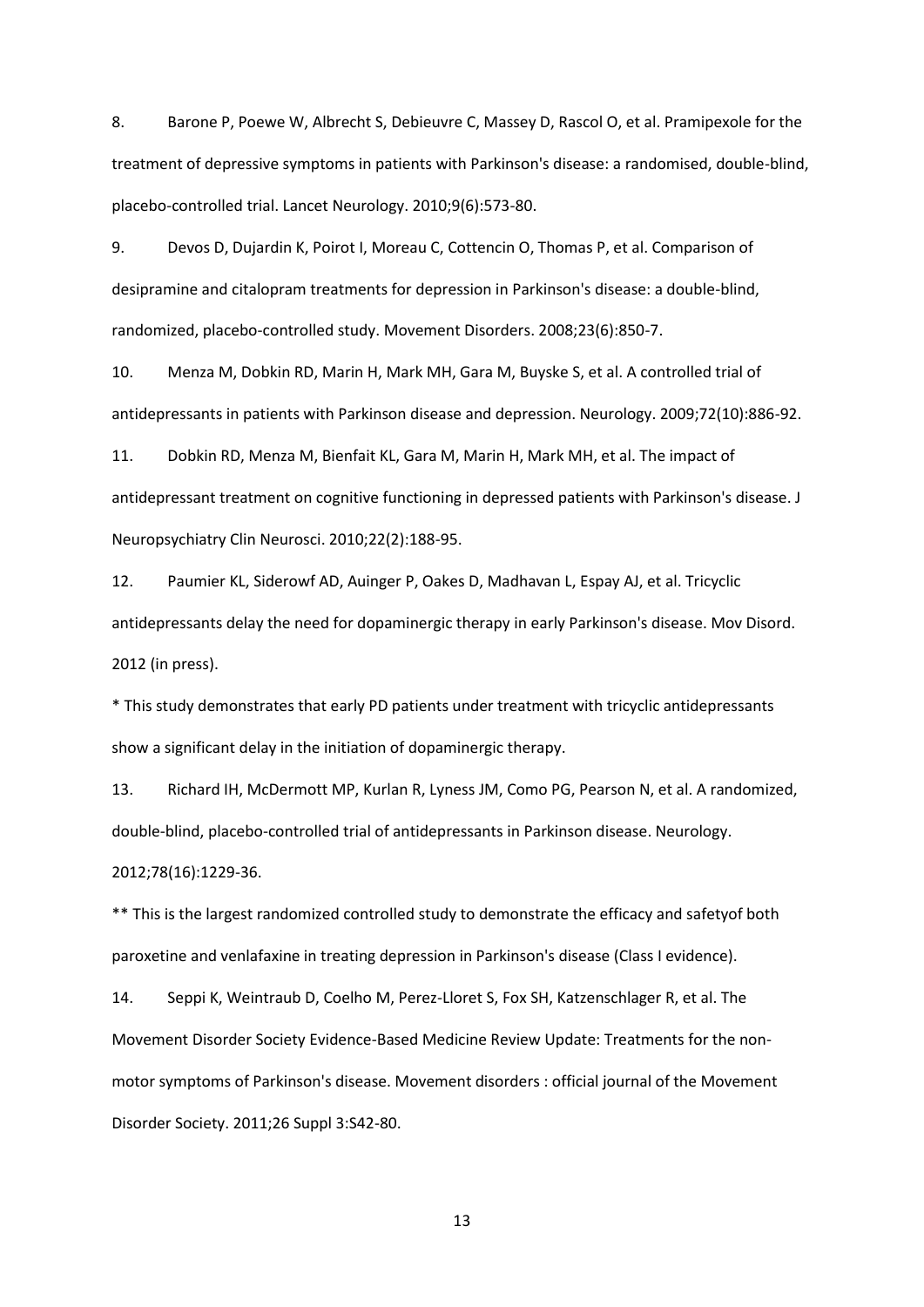<span id="page-13-0"></span>8. Barone P, Poewe W, Albrecht S, Debieuvre C, Massey D, Rascol O, et al. Pramipexole for the treatment of depressive symptoms in patients with Parkinson's disease: a randomised, double-blind, placebo-controlled trial. Lancet Neurology. 2010;9(6):573-80.

<span id="page-13-1"></span>9. Devos D, Dujardin K, Poirot I, Moreau C, Cottencin O, Thomas P, et al. Comparison of desipramine and citalopram treatments for depression in Parkinson's disease: a double-blind, randomized, placebo-controlled study. Movement Disorders. 2008;23(6):850-7.

<span id="page-13-2"></span>10. Menza M, Dobkin RD, Marin H, Mark MH, Gara M, Buyske S, et al. A controlled trial of antidepressants in patients with Parkinson disease and depression. Neurology. 2009;72(10):886-92.

<span id="page-13-3"></span>11. Dobkin RD, Menza M, Bienfait KL, Gara M, Marin H, Mark MH, et al. The impact of antidepressant treatment on cognitive functioning in depressed patients with Parkinson's disease. J Neuropsychiatry Clin Neurosci. 2010;22(2):188-95.

<span id="page-13-4"></span>12. Paumier KL, Siderowf AD, Auinger P, Oakes D, Madhavan L, Espay AJ, et al. Tricyclic antidepressants delay the need for dopaminergic therapy in early Parkinson's disease. Mov Disord. 2012 (in press).

\* This study demonstrates that early PD patients under treatment with tricyclic antidepressants show a significant delay in the initiation of dopaminergic therapy.

<span id="page-13-5"></span>13. Richard IH, McDermott MP, Kurlan R, Lyness JM, Como PG, Pearson N, et al. A randomized, double-blind, placebo-controlled trial of antidepressants in Parkinson disease. Neurology. 2012;78(16):1229-36.

\*\* This is the largest randomized controlled study to demonstrate the efficacy and safetyof both paroxetine and venlafaxine in treating depression in Parkinson's disease (Class I evidence).

<span id="page-13-6"></span>14. Seppi K, Weintraub D, Coelho M, Perez-Lloret S, Fox SH, Katzenschlager R, et al. The Movement Disorder Society Evidence-Based Medicine Review Update: Treatments for the nonmotor symptoms of Parkinson's disease. Movement disorders : official journal of the Movement Disorder Society. 2011;26 Suppl 3:S42-80.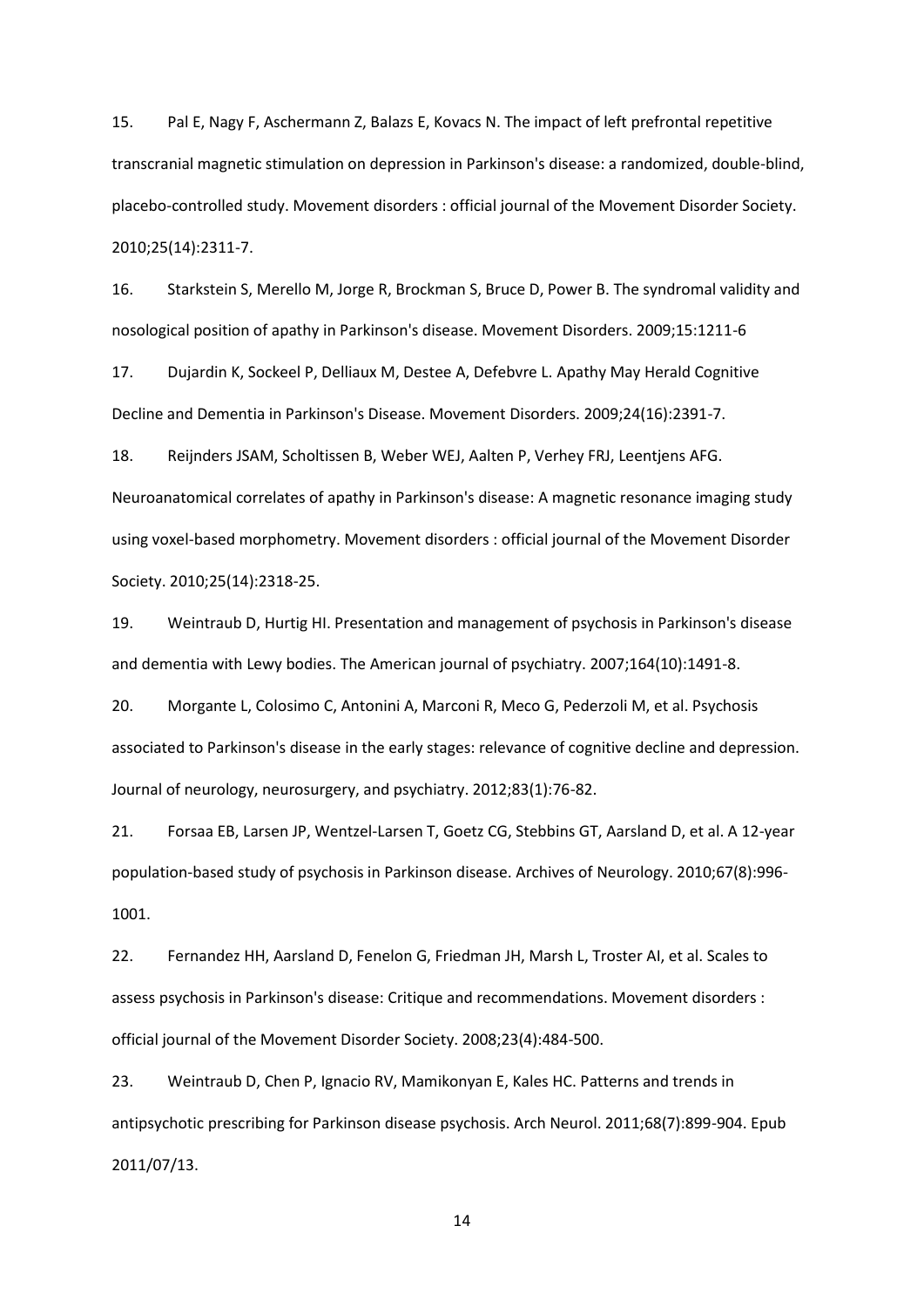<span id="page-14-0"></span>15. Pal E, Nagy F, Aschermann Z, Balazs E, Kovacs N. The impact of left prefrontal repetitive transcranial magnetic stimulation on depression in Parkinson's disease: a randomized, double-blind, placebo-controlled study. Movement disorders : official journal of the Movement Disorder Society. 2010;25(14):2311-7.

<span id="page-14-1"></span>16. Starkstein S, Merello M, Jorge R, Brockman S, Bruce D, Power B. The syndromal validity and nosological position of apathy in Parkinson's disease. Movement Disorders. 2009;15:1211-6

<span id="page-14-2"></span>17. Dujardin K, Sockeel P, Delliaux M, Destee A, Defebvre L. Apathy May Herald Cognitive Decline and Dementia in Parkinson's Disease. Movement Disorders. 2009;24(16):2391-7.

<span id="page-14-3"></span>18. Reijnders JSAM, Scholtissen B, Weber WEJ, Aalten P, Verhey FRJ, Leentjens AFG. Neuroanatomical correlates of apathy in Parkinson's disease: A magnetic resonance imaging study using voxel-based morphometry. Movement disorders : official journal of the Movement Disorder Society. 2010;25(14):2318-25.

<span id="page-14-4"></span>19. Weintraub D, Hurtig HI. Presentation and management of psychosis in Parkinson's disease and dementia with Lewy bodies. The American journal of psychiatry. 2007;164(10):1491-8.

<span id="page-14-5"></span>20. Morgante L, Colosimo C, Antonini A, Marconi R, Meco G, Pederzoli M, et al. Psychosis associated to Parkinson's disease in the early stages: relevance of cognitive decline and depression. Journal of neurology, neurosurgery, and psychiatry. 2012;83(1):76-82.

<span id="page-14-6"></span>21. Forsaa EB, Larsen JP, Wentzel-Larsen T, Goetz CG, Stebbins GT, Aarsland D, et al. A 12-year population-based study of psychosis in Parkinson disease. Archives of Neurology. 2010;67(8):996- 1001.

<span id="page-14-7"></span>22. Fernandez HH, Aarsland D, Fenelon G, Friedman JH, Marsh L, Troster AI, et al. Scales to assess psychosis in Parkinson's disease: Critique and recommendations. Movement disorders : official journal of the Movement Disorder Society. 2008;23(4):484-500.

<span id="page-14-8"></span>23. Weintraub D, Chen P, Ignacio RV, Mamikonyan E, Kales HC. Patterns and trends in antipsychotic prescribing for Parkinson disease psychosis. Arch Neurol. 2011;68(7):899-904. Epub 2011/07/13.